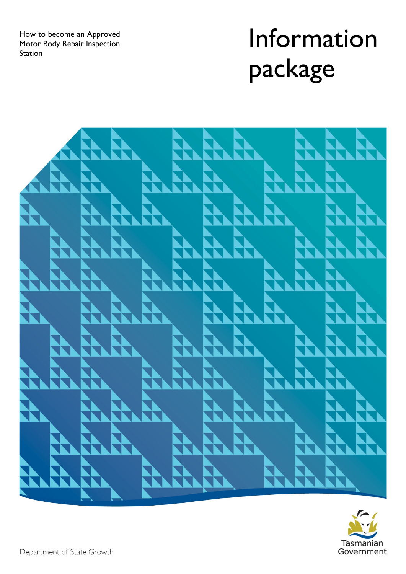How to become an Approved Motor Body Repair Inspection **Station** 

# Information package



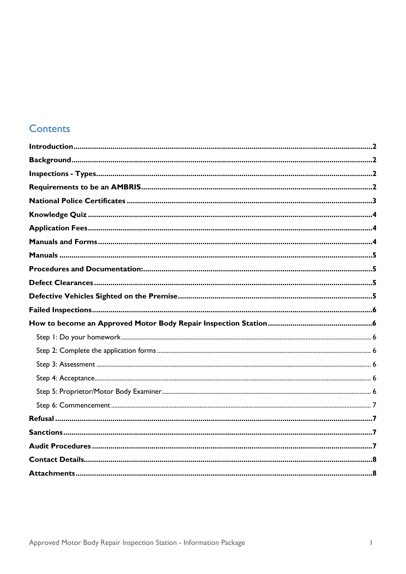#### Contents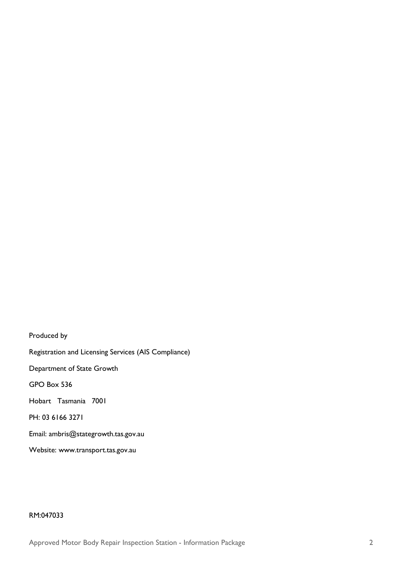Produced by Registration and Licensing Services (AIS Compliance) Department of State Growth GPO Box 536 Hobart Tasmania 7001 PH: 03 6166 3271 Email: [ambris@stategrowth.tas.gov.au](mailto:ambris@stategrowth.tas.gov.au) Website: [www.transport.tas.gov.au](http://www.transport.tas.gov.au/)

#### RM:047033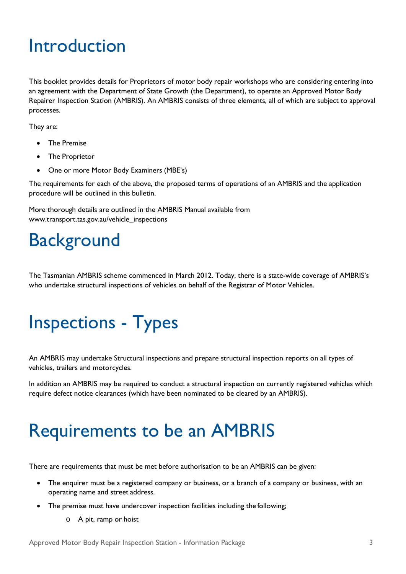### <span id="page-4-0"></span>Introduction

This booklet provides details for Proprietors of motor body repair workshops who are considering entering into an agreement with the Department of State Growth (the Department), to operate an Approved Motor Body Repairer Inspection Station (AMBRIS). An AMBRIS consists of three elements, all of which are subject to approval processes.

They are:

- The Premise
- The Proprietor
- One or more Motor Body Examiners (MBE's)

The requirements for each of the above, the proposed terms of operations of an AMBRIS and the application procedure will be outlined in this bulletin.

More thorough details are outlined in the AMBRIS Manual available from [www.transport.tas.gov.au/vehicle\\_inspections](http://www.transport.tas.gov.au/vehicle_inspections)

# <span id="page-4-1"></span>**Background**

The Tasmanian AMBRIS scheme commenced in March 2012. Today, there is a state-wide coverage of AMBRIS's who undertake structural inspections of vehicles on behalf of the Registrar of Motor Vehicles.

# <span id="page-4-2"></span>Inspections - Types

An AMBRIS may undertake Structural inspections and prepare structural inspection reports on all types of vehicles, trailers and motorcycles.

In addition an AMBRIS may be required to conduct a structural inspection on currently registered vehicles which require defect notice clearances (which have been nominated to be cleared by an AMBRIS).

# <span id="page-4-3"></span>Requirements to be an AMBRIS

There are requirements that must be met before authorisation to be an AMBRIS can be given:

- The enquirer must be a registered company or business, or a branch of a company or business, with an operating name and street address.
- The premise must have undercover inspection facilities including the following;
	- o A pit, ramp or hoist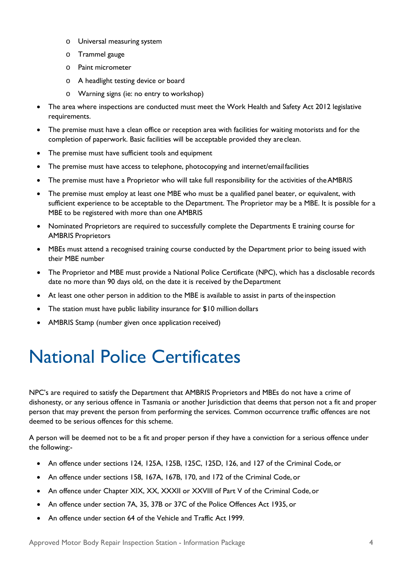- o Universal measuring system
- o Trammel gauge
- o Paint micrometer
- o A headlight testing device or board
- o Warning signs (ie: no entry to workshop)
- The area where inspections are conducted must meet the Work Health and Safety Act 2012 legislative requirements.
- The premise must have a clean office or reception area with facilities for waiting motorists and for the completion of paperwork. Basic facilities will be acceptable provided they areclean.
- The premise must have sufficient tools and equipment
- The premise must have access to telephone, photocopying and internet/email facilities
- The premise must have a Proprietor who will take full responsibility for the activities of theAMBRIS
- The premise must employ at least one MBE who must be a qualified panel beater, or equivalent, with sufficient experience to be acceptable to the Department. The Proprietor may be a MBE. It is possible for a MBE to be registered with more than one AMBRIS
- Nominated Proprietors are required to successfully complete the Departments E training course for AMBRIS Proprietors
- MBEs must attend a recognised training course conducted by the Department prior to being issued with their MBE number
- The Proprietor and MBE must provide a National Police Certificate (NPC), which has a disclosable records date no more than 90 days old, on the date it is received by the Department
- At least one other person in addition to the MBE is available to assist in parts of the inspection
- The station must have public liability insurance for \$10 million dollars
- AMBRIS Stamp (number given once application received)

# <span id="page-5-0"></span>National Police Certificates

NPC's are required to satisfy the Department that AMBRIS Proprietors and MBEs do not have a crime of dishonesty, or any serious offence in Tasmania or another Jurisdiction that deems that person not a fit and proper person that may prevent the person from performing the services. Common occurrence traffic offences are not deemed to be serious offences for this scheme.

A person will be deemed not to be a fit and proper person if they have a conviction for a serious offence under the following:-

- An offence under sections 124, 125A, 125B, 125C, 125D, 126, and 127 of the Criminal Code, or
- An offence under sections 158, 167A, 167B, 170, and 172 of the Criminal Code, or
- An offence under Chapter XIX, XX, XXXII or XXVIII of Part V of the Criminal Code, or
- An offence under section 7A, 35, 37B or 37C of the Police Offences Act 1935, or
- An offence under section 64 of the Vehicle and Traffic Act 1999.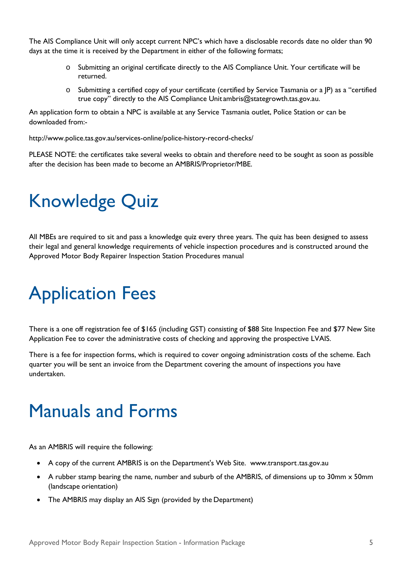The AIS Compliance Unit will only accept current NPC's which have a disclosable records date no older than 90 days at the time it is received by the Department in either of the following formats;

- o Submitting an original certificate directly to the AIS Compliance Unit. Your certificate will be returned.
- o Submitting a certified copy of your certificate (certified by Service Tasmania or a JP) as a "certified true copy" directly to the AIS Compliance Unit [ambris@stategrowth.tas.gov.au.](mailto:ambris@stategrowth.tas.gov.au)

An application form to obtain a NPC is available at any Service Tasmania outlet, Police Station or can be downloaded from:-

<http://www.police.tas.gov.au/services-online/police-history-record-checks/>

PLEASE NOTE: the certificates take several weeks to obtain and therefore need to be sought as soon as possible after the decision has been made to become an AMBRIS/Proprietor/MBE.

# <span id="page-6-0"></span>Knowledge Quiz

All MBEs are required to sit and pass a knowledge quiz every three years. The quiz has been designed to assess their legal and general knowledge requirements of vehicle inspection procedures and is constructed around the Approved Motor Body Repairer Inspection Station Procedures manual

# <span id="page-6-1"></span>Application Fees

There is a one off registration fee of \$165 (including GST) consisting of \$88 Site Inspection Fee and \$77 New Site Application Fee to cover the administrative costs of checking and approving the prospective LVAIS.

There is a fee for inspection forms, which is required to cover ongoing administration costs of the scheme. Each quarter you will be sent an invoice from the Department covering the amount of inspections you have undertaken.

### <span id="page-6-2"></span>Manuals and Forms

As an AMBRIS will require the following:

- A copy of the current AMBRIS is on the Department's Web Site. www.transport.tas.gov.au
- A rubber stamp bearing the name, number and suburb of the AMBRIS, of dimensions up to 30mm x 50mm (landscape orientation)
- The AMBRIS may display an AIS Sign (provided by the Department)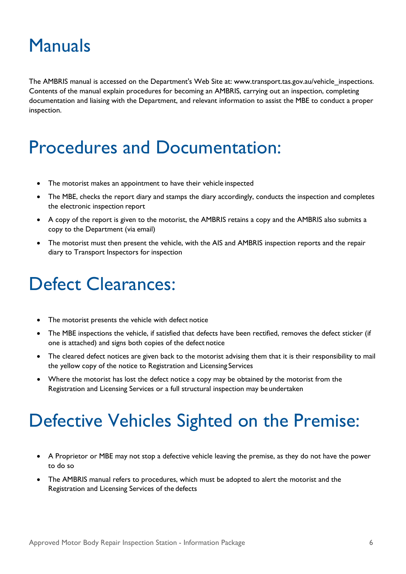### <span id="page-7-0"></span>Manuals

The AMBRIS manual is accessed on the Department's Web Site at: [www.transport.tas.gov.au/vehicle\\_inspections.](http://www.transport.tas.gov.au/vehicle_inspections) Contents of the manual explain procedures for becoming an AMBRIS, carrying out an inspection, completing documentation and liaising with the Department, and relevant information to assist the MBE to conduct a proper inspection.

### <span id="page-7-1"></span>Procedures and Documentation:

- The motorist makes an appointment to have their vehicle inspected
- The MBE, checks the report diary and stamps the diary accordingly, conducts the inspection and completes the electronic inspection report
- A copy of the report is given to the motorist, the AMBRIS retains a copy and the AMBRIS also submits a copy to the Department (via email)
- The motorist must then present the vehicle, with the AIS and AMBRIS inspection reports and the repair diary to Transport Inspectors for inspection

# <span id="page-7-2"></span>Defect Clearances:

- The motorist presents the vehicle with defect notice
- The MBE inspections the vehicle, if satisfied that defects have been rectified, removes the defect sticker (if one is attached) and signs both copies of the defect notice
- The cleared defect notices are given back to the motorist advising them that it is their responsibility to mail the yellow copy of the notice to Registration and Licensing Services
- Where the motorist has lost the defect notice a copy may be obtained by the motorist from the Registration and Licensing Services or a full structural inspection may be undertaken

# <span id="page-7-3"></span>Defective Vehicles Sighted on the Premise:

- A Proprietor or MBE may not stop a defective vehicle leaving the premise, as they do not have the power to do so
- The AMBRIS manual refers to procedures, which must be adopted to alert the motorist and the Registration and Licensing Services of the defects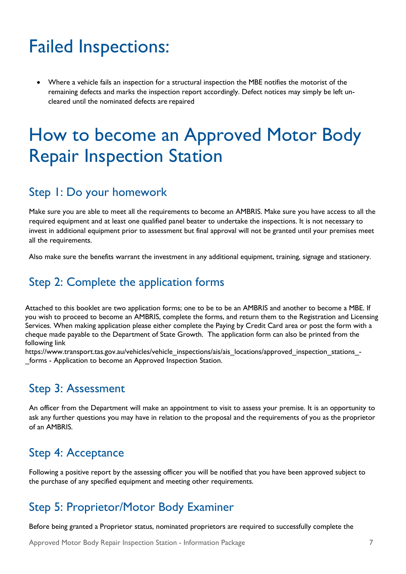# <span id="page-8-0"></span>Failed Inspections:

• Where a vehicle fails an inspection for a structural inspection the MBE notifies the motorist of the remaining defects and marks the inspection report accordingly. Defect notices may simply be left uncleared until the nominated defects are repaired

### <span id="page-8-1"></span>How to become an Approved Motor Body Repair Inspection Station

#### <span id="page-8-2"></span>Step 1: Do your homework

Make sure you are able to meet all the requirements to become an AMBRIS. Make sure you have access to all the required equipment and at least one qualified panel beater to undertake the inspections. It is not necessary to invest in additional equipment prior to assessment but final approval will not be granted until your premises meet all the requirements.

Also make sure the benefits warrant the investment in any additional equipment, training, signage and stationery.

#### <span id="page-8-3"></span>Step 2: Complete the application forms

Attached to this booklet are two application forms; one to be to be an AMBRIS and another to become a MBE. If you wish to proceed to become an AMBRIS, complete the forms, and return them to the Registration and Licensing Services. When making application please either complete the Paying by Credit Card area or post the form with a cheque made payable to the Department of State Growth. The application form can also be printed from the following link

[https://www.transport.tas.gov.au/vehicles/vehicle\\_inspections/ais/ais\\_locations/approved\\_inspection\\_stations\\_-](https://www.transport.tas.gov.au/vehicles/vehicle_inspections/ais/ais_locations/approved_inspection_stations_-_forms) [\\_forms](https://www.transport.tas.gov.au/vehicles/vehicle_inspections/ais/ais_locations/approved_inspection_stations_-_forms) - Application to become an Approved Inspection Station.

#### <span id="page-8-4"></span>Step 3: Assessment

An officer from the Department will make an appointment to visit to assess your premise. It is an opportunity to ask any further questions you may have in relation to the proposal and the requirements of you as the proprietor of an AMBRIS.

#### <span id="page-8-5"></span>Step 4: Acceptance

Following a positive report by the assessing officer you will be notified that you have been approved subject to the purchase of any specified equipment and meeting other requirements.

#### <span id="page-8-6"></span>Step 5: Proprietor/Motor Body Examiner

Before being granted a Proprietor status, nominated proprietors are required to successfully complete the

Approved Motor Body Repair Inspection Station - Information Package 7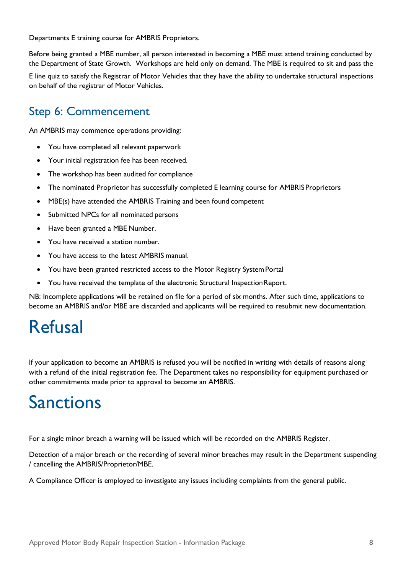Departments E training course for AMBRIS Proprietors.

Before being granted a MBE number, all person interested in becoming a MBE must attend training conducted by the Department of State Growth. Workshops are held only on demand. The MBE is required to sit and pass the

E line quiz to satisfy the Registrar of Motor Vehicles that they have the ability to undertake structural inspections on behalf of the registrar of Motor Vehicles.

#### <span id="page-9-0"></span>Step 6: Commencement

An AMBRIS may commence operations providing:

- You have completed all relevant paperwork
- Your initial registration fee has been received.
- The workshop has been audited for compliance
- The nominated Proprietor has successfully completed E learning course for AMBRIS Proprietors
- MBE(s) have attended the AMBRIS Training and been found competent
- Submitted NPCs for all nominated persons
- Have been granted a MBE Number.
- You have received a station number.
- You have access to the latest AMBRIS manual.
- You have been granted restricted access to the Motor Registry SystemPortal
- You have received the template of the electronic Structural Inspection Report.

NB: Incomplete applications will be retained on file for a period of six months. After such time, applications to become an AMBRIS and/or MBE are discarded and applicants will be required to resubmit new documentation.

### <span id="page-9-1"></span>Refusal

If your application to become an AMBRIS is refused you will be notified in writing with details of reasons along with a refund of the initial registration fee. The Department takes no responsibility for equipment purchased or other commitments made prior to approval to become an AMBRIS.

#### <span id="page-9-2"></span>Sanctions

For a single minor breach a warning will be issued which will be recorded on the AMBRIS Register.

Detection of a major breach or the recording of several minor breaches may result in the Department suspending / cancelling the AMBRIS/Proprietor/MBE.

A Compliance Officer is employed to investigate any issues including complaints from the general public.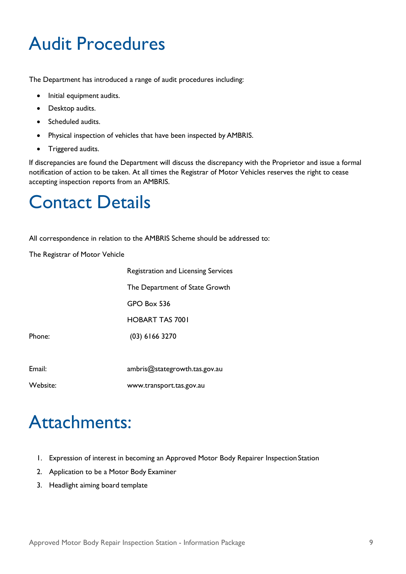# <span id="page-10-0"></span>Audit Procedures

The Department has introduced a range of audit procedures including:

- Initial equipment audits.
- Desktop audits.
- Scheduled audits.
- Physical inspection of vehicles that have been inspected by AMBRIS.
- Triggered audits.

If discrepancies are found the Department will discuss the discrepancy with the Proprietor and issue a formal notification of action to be taken. At all times the Registrar of Motor Vehicles reserves the right to cease accepting inspection reports from an AMBRIS.

### <span id="page-10-1"></span>Contact Details

All correspondence in relation to the AMBRIS Scheme should be addressed to:

The Registrar of Motor Vehicle

|        | <b>Registration and Licensing Services</b> |
|--------|--------------------------------------------|
|        | The Department of State Growth             |
|        | GPO Box 536                                |
|        | <b>HOBART TAS 7001</b>                     |
| Phone: | $(03)$ 6166 3270                           |
|        |                                            |
| Email: | ambris@stategrowth.tas.gov.au              |

Website: [www.transport.tas.gov.au](http://www.transport.tas.gov.au/)

Phone:

<span id="page-10-2"></span>Attachments:

- 1. Expression of interest in becoming an Approved Motor Body Repairer Inspection Station
- 2. Application to be a Motor Body Examiner
- 3. Headlight aiming board template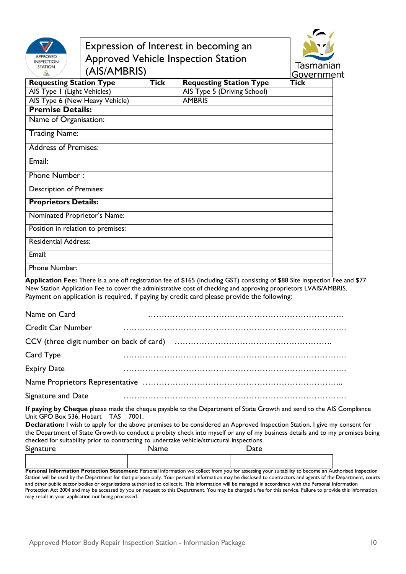

#### Expression of Interest in becoming an Approved Vehicle Inspection Station (AIS/AMBRIS)



|                                   |             |                                | <b>UUVELIILIEI</b> |
|-----------------------------------|-------------|--------------------------------|--------------------|
| <b>Requesting Station Type</b>    | <b>Tick</b> | <b>Requesting Station Type</b> | <b>Tick</b>        |
| AIS Type I (Light Vehicles)       |             | AIS Type 5 (Driving School)    |                    |
| AIS Type 6 (New Heavy Vehicle)    |             | <b>AMBRIS</b>                  |                    |
| <b>Premise Details:</b>           |             |                                |                    |
| Name of Organisation:             |             |                                |                    |
| <b>Trading Name:</b>              |             |                                |                    |
| <b>Address of Premises:</b>       |             |                                |                    |
| Email:                            |             |                                |                    |
| <b>Phone Number:</b>              |             |                                |                    |
| <b>Description of Premises:</b>   |             |                                |                    |
| <b>Proprietors Details:</b>       |             |                                |                    |
| Nominated Proprietor's Name:      |             |                                |                    |
| Position in relation to premises: |             |                                |                    |
| <b>Residential Address:</b>       |             |                                |                    |
| Email:                            |             |                                |                    |
| Phone Number:                     |             |                                |                    |
|                                   |             |                                |                    |

**Application Fee:** There is a one off registration fee of \$165 (including GST) consisting of \$88 Site Inspection Fee and \$77 New Station Application Fee to cover the administrative cost of checking and approving proprietors LVAIS/AMBRIS. Payment on application is required, if paying by credit card please provide the following:

| Name on Card             |                                                                                                                                            |
|--------------------------|--------------------------------------------------------------------------------------------------------------------------------------------|
| <b>Credit Car Number</b> |                                                                                                                                            |
|                          |                                                                                                                                            |
| Card Type                |                                                                                                                                            |
| <b>Expiry Date</b>       |                                                                                                                                            |
|                          |                                                                                                                                            |
| Signature and Date       |                                                                                                                                            |
|                          | $R_{\text{max}}$ to be changed by an indicate the second sector $R_{\text{max}}$ of $R_{\text{max}}$ conducted as its AIC $C_{\text{max}}$ |

**If paying by Cheque** please made the cheque payable to the Department of State Growth and send to the AIS Compliance Unit GPO Box 536, Hobart TAS 7001.

**Declaration:** I wish to apply for the above premises to be considered an Approved Inspection Station. I give my consent for the Department of State Growth to conduct a probity check into myself or any of my business details and to my premises being checked for suitability prior to contracting to undertake vehicle/structural inspections.

| Signature | Name | <b>Date</b> |
|-----------|------|-------------|
|           |      |             |

Personal Information Protection Statement: Personal information we collect from you for assessing your suitability to become an Authorised Inspection Station will be used by the Department for that purpose only. Your personal information may be disclosed to contractors and agents of the Department, courts and other public sector bodies or organisations authorised to collect it. This information will be managed in accordance with the Personal Information Protection Act 2004 and may be accessed by you on request to this Department. You may be charged a fee for this service. Failure to provide this information may result in your application not being processed.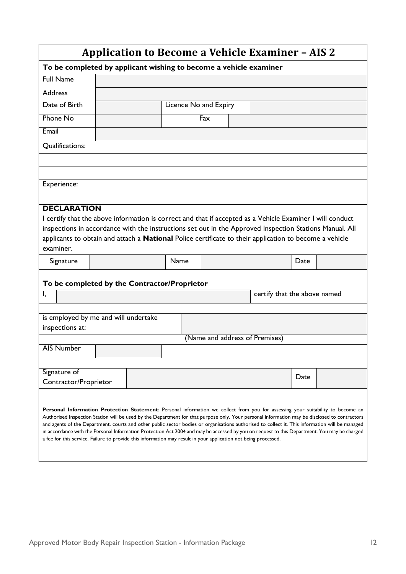| <b>Application to Become a Vehicle Examiner - AIS 2</b>                                                                                                                                                                                                                                                                                                                                                                                                                                                                                                                                                                                                                                                |                                                                                                                                                                                                                                                                                                                                                      |  |                       |     |  |                                |      |  |
|--------------------------------------------------------------------------------------------------------------------------------------------------------------------------------------------------------------------------------------------------------------------------------------------------------------------------------------------------------------------------------------------------------------------------------------------------------------------------------------------------------------------------------------------------------------------------------------------------------------------------------------------------------------------------------------------------------|------------------------------------------------------------------------------------------------------------------------------------------------------------------------------------------------------------------------------------------------------------------------------------------------------------------------------------------------------|--|-----------------------|-----|--|--------------------------------|------|--|
| To be completed by applicant wishing to become a vehicle examiner                                                                                                                                                                                                                                                                                                                                                                                                                                                                                                                                                                                                                                      |                                                                                                                                                                                                                                                                                                                                                      |  |                       |     |  |                                |      |  |
| <b>Full Name</b>                                                                                                                                                                                                                                                                                                                                                                                                                                                                                                                                                                                                                                                                                       |                                                                                                                                                                                                                                                                                                                                                      |  |                       |     |  |                                |      |  |
| <b>Address</b>                                                                                                                                                                                                                                                                                                                                                                                                                                                                                                                                                                                                                                                                                         |                                                                                                                                                                                                                                                                                                                                                      |  |                       |     |  |                                |      |  |
| Date of Birth                                                                                                                                                                                                                                                                                                                                                                                                                                                                                                                                                                                                                                                                                          |                                                                                                                                                                                                                                                                                                                                                      |  | Licence No and Expiry |     |  |                                |      |  |
| <b>Phone No</b>                                                                                                                                                                                                                                                                                                                                                                                                                                                                                                                                                                                                                                                                                        |                                                                                                                                                                                                                                                                                                                                                      |  |                       | Fax |  |                                |      |  |
| Email                                                                                                                                                                                                                                                                                                                                                                                                                                                                                                                                                                                                                                                                                                  |                                                                                                                                                                                                                                                                                                                                                      |  |                       |     |  |                                |      |  |
| Qualifications:                                                                                                                                                                                                                                                                                                                                                                                                                                                                                                                                                                                                                                                                                        |                                                                                                                                                                                                                                                                                                                                                      |  |                       |     |  |                                |      |  |
|                                                                                                                                                                                                                                                                                                                                                                                                                                                                                                                                                                                                                                                                                                        |                                                                                                                                                                                                                                                                                                                                                      |  |                       |     |  |                                |      |  |
|                                                                                                                                                                                                                                                                                                                                                                                                                                                                                                                                                                                                                                                                                                        |                                                                                                                                                                                                                                                                                                                                                      |  |                       |     |  |                                |      |  |
| Experience:                                                                                                                                                                                                                                                                                                                                                                                                                                                                                                                                                                                                                                                                                            |                                                                                                                                                                                                                                                                                                                                                      |  |                       |     |  |                                |      |  |
|                                                                                                                                                                                                                                                                                                                                                                                                                                                                                                                                                                                                                                                                                                        |                                                                                                                                                                                                                                                                                                                                                      |  |                       |     |  |                                |      |  |
| examiner.                                                                                                                                                                                                                                                                                                                                                                                                                                                                                                                                                                                                                                                                                              | <b>DECLARATION</b><br>I certify that the above information is correct and that if accepted as a Vehicle Examiner I will conduct<br>inspections in accordance with the instructions set out in the Approved Inspection Stations Manual. All<br>applicants to obtain and attach a National Police certificate to their application to become a vehicle |  |                       |     |  |                                |      |  |
| Signature                                                                                                                                                                                                                                                                                                                                                                                                                                                                                                                                                                                                                                                                                              |                                                                                                                                                                                                                                                                                                                                                      |  | Name                  |     |  |                                | Date |  |
| Ι,                                                                                                                                                                                                                                                                                                                                                                                                                                                                                                                                                                                                                                                                                                     | To be completed by the Contractor/Proprietor<br>certify that the above named                                                                                                                                                                                                                                                                         |  |                       |     |  |                                |      |  |
|                                                                                                                                                                                                                                                                                                                                                                                                                                                                                                                                                                                                                                                                                                        |                                                                                                                                                                                                                                                                                                                                                      |  |                       |     |  |                                |      |  |
| is employed by me and will undertake<br>inspections at:                                                                                                                                                                                                                                                                                                                                                                                                                                                                                                                                                                                                                                                |                                                                                                                                                                                                                                                                                                                                                      |  |                       |     |  |                                |      |  |
|                                                                                                                                                                                                                                                                                                                                                                                                                                                                                                                                                                                                                                                                                                        |                                                                                                                                                                                                                                                                                                                                                      |  |                       |     |  | (Name and address of Premises) |      |  |
| <b>AIS Number</b>                                                                                                                                                                                                                                                                                                                                                                                                                                                                                                                                                                                                                                                                                      |                                                                                                                                                                                                                                                                                                                                                      |  |                       |     |  |                                |      |  |
|                                                                                                                                                                                                                                                                                                                                                                                                                                                                                                                                                                                                                                                                                                        |                                                                                                                                                                                                                                                                                                                                                      |  |                       |     |  |                                |      |  |
| Signature of<br>Contractor/Proprietor                                                                                                                                                                                                                                                                                                                                                                                                                                                                                                                                                                                                                                                                  |                                                                                                                                                                                                                                                                                                                                                      |  |                       |     |  |                                | Date |  |
| Personal Information Protection Statement: Personal information we collect from you for assessing your suitability to become an<br>Authorised Inspection Station will be used by the Department for that purpose only. Your personal information may be disclosed to contractors<br>and agents of the Department, courts and other public sector bodies or organisations authorised to collect it. This information will be managed<br>in accordance with the Personal Information Protection Act 2004 and may be accessed by you on request to this Department. You may be charged<br>a fee for this service. Failure to provide this information may result in your application not being processed. |                                                                                                                                                                                                                                                                                                                                                      |  |                       |     |  |                                |      |  |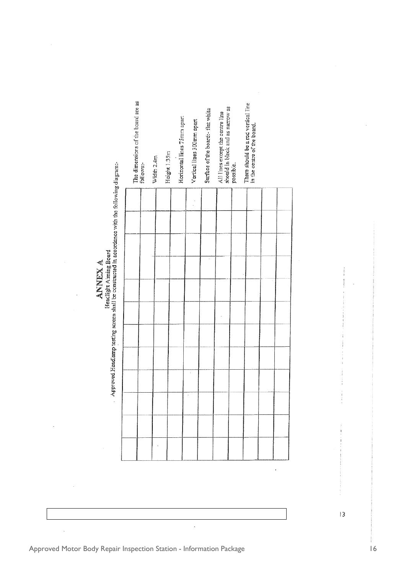| <b>ANNEX A</b> | Approved Headlamp testing screen shall be constructed in accordance with the following disgr<br>rieaclight Aiming Board<br>× |
|----------------|------------------------------------------------------------------------------------------------------------------------------|
|----------------|------------------------------------------------------------------------------------------------------------------------------|

|  | The dimensions of the board are as<br>follows:- | Width 2.4m | Height 1.35m | Horizontal lines 75mm apart | Vertical lines 300mm apart | Surface of the board: - flat white | should in black and as namow as<br>All lines except the centre line | possible. | There should be a red vertical line<br>in the centre of the board. |  |
|--|-------------------------------------------------|------------|--------------|-----------------------------|----------------------------|------------------------------------|---------------------------------------------------------------------|-----------|--------------------------------------------------------------------|--|
|  |                                                 |            |              |                             |                            |                                    |                                                                     |           |                                                                    |  |
|  |                                                 |            |              |                             |                            |                                    |                                                                     |           |                                                                    |  |
|  |                                                 |            |              |                             |                            |                                    |                                                                     |           |                                                                    |  |
|  |                                                 |            |              |                             |                            |                                    |                                                                     |           |                                                                    |  |
|  |                                                 |            |              |                             |                            |                                    |                                                                     |           |                                                                    |  |
|  |                                                 |            |              |                             |                            |                                    |                                                                     |           |                                                                    |  |
|  |                                                 |            |              |                             |                            |                                    |                                                                     |           |                                                                    |  |
|  |                                                 |            |              |                             |                            |                                    |                                                                     |           |                                                                    |  |
|  |                                                 |            |              |                             |                            |                                    |                                                                     |           |                                                                    |  |
|  |                                                 |            |              |                             |                            |                                    |                                                                     |           |                                                                    |  |
|  |                                                 |            |              |                             |                            |                                    |                                                                     |           |                                                                    |  |
|  |                                                 |            |              |                             |                            |                                    |                                                                     |           |                                                                    |  |

 $\overline{\phantom{a}}$ 

 $|3$ 

Approved Motor Body Repair Inspection Station - Information Package 16 16

 $\overline{\phantom{a}}$